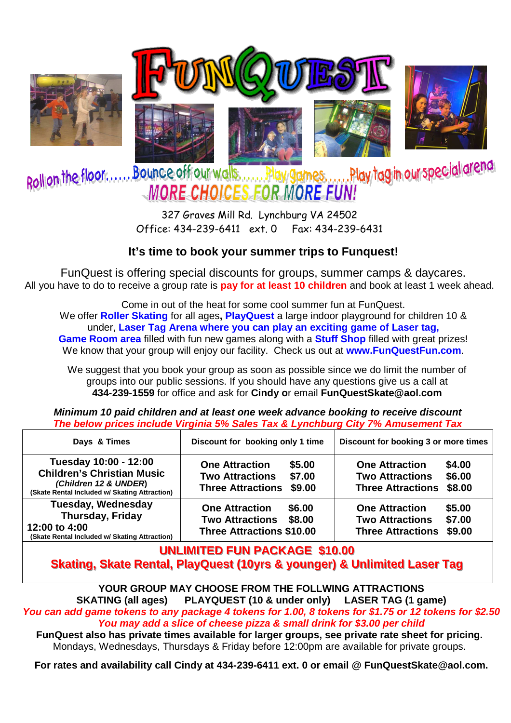

327 Graves Mill Rd. Lynchburg VA 24502 Office: 434-239-6411 ext. 0 Fax: 434-239-6431

## **It's time to book your summer trips to Funquest!**

FunQuest is offering special discounts for groups, summer camps & daycares. All you have to do to receive a group rate is **pay for at least 10 children** and book at least 1 week ahead.

Come in out of the heat for some cool summer fun at FunQuest. We offer **Roller Skating** for all ages**, PlayQuest** a large indoor playground for children 10 & under, **Laser Tag Arena where you can play an exciting game of Laser tag, Game Room area** filled with fun new games along with a **Stuff Shop** filled with great prizes! We know that your group will enjoy our facility. Check us out at **www.FunQuestFun.com**.

We suggest that you book your group as soon as possible since we do limit the number of groups into our public sessions. If you should have any questions give us a call at **434-239-1559** for office and ask for **Cindy o**r email **FunQuestSkate@aol.com** 

**Minimum 10 paid children and at least one week advance booking to receive discount The below prices include Virginia 5% Sales Tax & Lynchburg City 7% Amusement Tax** 

| Days & Times                                                                                                                         | Discount for booking only 1 time                                                                          | Discount for booking 3 or more times                                                                      |  |  |
|--------------------------------------------------------------------------------------------------------------------------------------|-----------------------------------------------------------------------------------------------------------|-----------------------------------------------------------------------------------------------------------|--|--|
| Tuesday 10:00 - 12:00<br><b>Children's Christian Music</b><br>(Children 12 & UNDER)<br>(Skate Rental Included w/ Skating Attraction) | \$5.00<br><b>One Attraction</b><br>\$7.00<br><b>Two Attractions</b><br>\$9.00<br><b>Three Attractions</b> | \$4.00<br><b>One Attraction</b><br>\$6.00<br><b>Two Attractions</b><br>\$8.00<br><b>Three Attractions</b> |  |  |
| <b>Tuesday, Wednesday</b><br><b>Thursday, Friday</b><br>12:00 to 4:00<br>(Skate Rental Included w/ Skating Attraction)               | <b>One Attraction</b><br>\$6.00<br><b>Two Attractions</b><br>\$8.00<br><b>Three Attractions \$10.00</b>   | <b>One Attraction</b><br>\$5.00<br>\$7.00<br><b>Two Attractions</b><br>\$9.00<br><b>Three Attractions</b> |  |  |

## **UNLIMITED FUN PACKAGE \$10.00** Skating, Skate Rental, PlayQuest (10yrs & younger) & Unlimited Laser Tag

**YOUR GROUP MAY CHOOSE FROM THE FOLLWING ATTRACTIONS SKATING (all ages) PLAYQUEST (10 & under only) LASER TAG (1 game) You can add game tokens to any package 4 tokens for 1.00, 8 tokens for \$1.75 or 12 tokens for \$2.50 You may add a slice of cheese pizza & small drink for \$3.00 per child** 

**FunQuest also has private times available for larger groups, see private rate sheet for pricing.**  Mondays, Wednesdays, Thursdays & Friday before 12:00pm are available for private groups.

**For rates and availability call Cindy at 434-239-6411 ext. 0 or email @ FunQuestSkate@aol.com.**